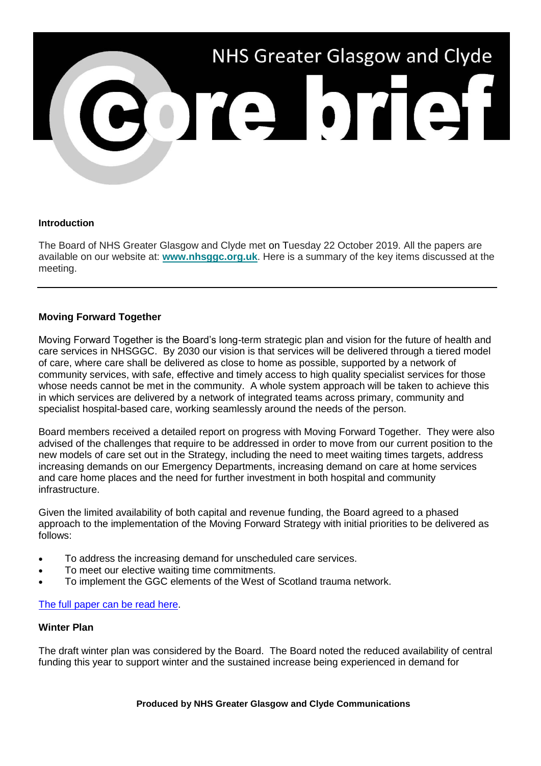

#### **Introduction**

The Board of NHS Greater Glasgow and Clyde met on Tuesday 22 October 2019. All the papers are available on our website at: **[www.nhsggc.org.uk](https://www.nhsggc.org.uk/about-us/nhsggc-board/board-meetings-papers-reports/papers/2019/?utm_source=Core%20Brief&utm_medium=Email&utm_campaign=CB%20-%20board_papers)**. Here is a summary of the key items discussed at the meeting.

## **Moving Forward Together**

Moving Forward Together is the Board's long-term strategic plan and vision for the future of health and care services in NHSGGC. By 2030 our vision is that services will be delivered through a tiered model of care, where care shall be delivered as close to home as possible, supported by a network of community services, with safe, effective and timely access to high quality specialist services for those whose needs cannot be met in the community. A whole system approach will be taken to achieve this in which services are delivered by a network of integrated teams across primary, community and specialist hospital-based care, working seamlessly around the needs of the person.

Board members received a detailed report on progress with Moving Forward Together. They were also advised of the challenges that require to be addressed in order to move from our current position to the new models of care set out in the Strategy, including the need to meet waiting times targets, address increasing demands on our Emergency Departments, increasing demand on care at home services and care home places and the need for further investment in both hospital and community infrastructure.

Given the limited availability of both capital and revenue funding, the Board agreed to a phased approach to the implementation of the Moving Forward Strategy with initial priorities to be delivered as follows:

- To address the increasing demand for unscheduled care services.
- To meet our elective waiting time commitments.
- To implement the GGC elements of the West of Scotland trauma network.

## [The full paper can be read here.](https://www.nhsggc.org.uk/media/256389/item-9-paper-no-19_47-moving-forward-together-update.pdf?utm_source=Core%20Brief&utm_medium=Email&utm_campaign=CB%20-%20moving_forward_together)

## **Winter Plan**

The draft winter plan was considered by the Board. The Board noted the reduced availability of central funding this year to support winter and the sustained increase being experienced in demand for